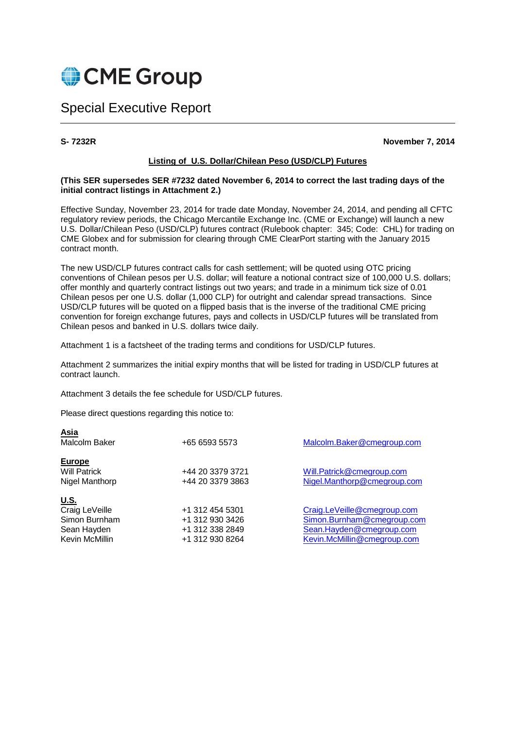

# Special Executive Report

**Asia** 

**S- 7232R November 7, 2014** 

#### **Listing of U.S. Dollar/Chilean Peso (USD/CLP) Futures**

#### **(This SER supersedes SER #7232 dated November 6, 2014 to correct the last trading days of the initial contract listings in Attachment 2.)**

Effective Sunday, November 23, 2014 for trade date Monday, November 24, 2014, and pending all CFTC regulatory review periods, the Chicago Mercantile Exchange Inc. (CME or Exchange) will launch a new U.S. Dollar/Chilean Peso (USD/CLP) futures contract (Rulebook chapter: 345; Code: CHL) for trading on CME Globex and for submission for clearing through CME ClearPort starting with the January 2015 contract month.

The new USD/CLP futures contract calls for cash settlement; will be quoted using OTC pricing conventions of Chilean pesos per U.S. dollar; will feature a notional contract size of 100,000 U.S. dollars; offer monthly and quarterly contract listings out two years; and trade in a minimum tick size of 0.01 Chilean pesos per one U.S. dollar (1,000 CLP) for outright and calendar spread transactions. Since USD/CLP futures will be quoted on a flipped basis that is the inverse of the traditional CME pricing convention for foreign exchange futures, pays and collects in USD/CLP futures will be translated from Chilean pesos and banked in U.S. dollars twice daily.

Attachment 1 is a factsheet of the trading terms and conditions for USD/CLP futures.

Attachment 2 summarizes the initial expiry months that will be listed for trading in USD/CLP futures at contract launch.

Attachment 3 details the fee schedule for USD/CLP futures.

Please direct questions regarding this notice to:

| Asia<br>Malcolm Baker                                                           | +65 6593 5573                                                            | Malcolm.Baker@cmegroup.com                                                                                           |
|---------------------------------------------------------------------------------|--------------------------------------------------------------------------|----------------------------------------------------------------------------------------------------------------------|
| <b>Europe</b><br><b>Will Patrick</b><br>Nigel Manthorp                          | +44 20 3379 3721<br>+44 20 3379 3863                                     | Will.Patrick@cmegroup.com<br>Nigel.Manthorp@cmegroup.com                                                             |
| <u>U.S.</u><br>Craig LeVeille<br>Simon Burnham<br>Sean Hayden<br>Kevin McMillin | +1 312 454 5301<br>+1 312 930 3426<br>+1 312 338 2849<br>+1 312 930 8264 | Craig.LeVeille@cmegroup.com<br>Simon.Burnham@cmegroup.com<br>Sean.Hayden@cmegroup.com<br>Kevin.McMillin@cmegroup.com |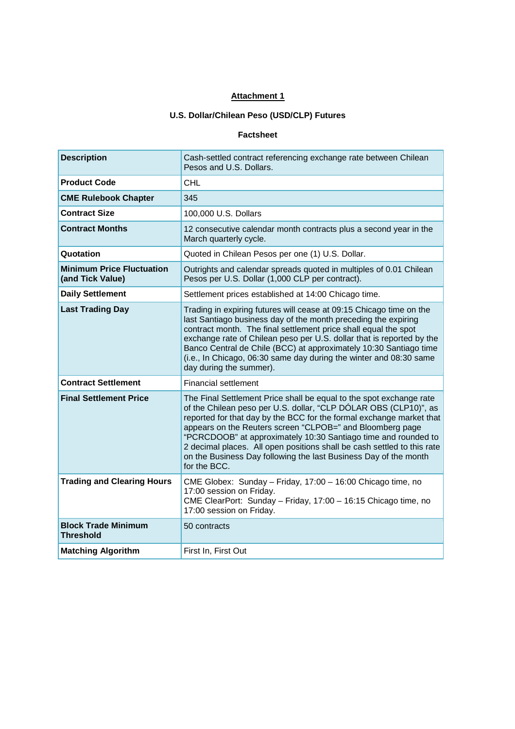# **Attachment 1**

# **U.S. Dollar/Chilean Peso (USD/CLP) Futures**

#### **Factsheet**

| <b>Description</b>                                   | Cash-settled contract referencing exchange rate between Chilean<br>Pesos and U.S. Dollars.                                                                                                                                                                                                                                                                                                                                                                                                                    |
|------------------------------------------------------|---------------------------------------------------------------------------------------------------------------------------------------------------------------------------------------------------------------------------------------------------------------------------------------------------------------------------------------------------------------------------------------------------------------------------------------------------------------------------------------------------------------|
| <b>Product Code</b>                                  | CHL                                                                                                                                                                                                                                                                                                                                                                                                                                                                                                           |
| <b>CME Rulebook Chapter</b>                          | 345                                                                                                                                                                                                                                                                                                                                                                                                                                                                                                           |
| <b>Contract Size</b>                                 | 100,000 U.S. Dollars                                                                                                                                                                                                                                                                                                                                                                                                                                                                                          |
| <b>Contract Months</b>                               | 12 consecutive calendar month contracts plus a second year in the<br>March quarterly cycle.                                                                                                                                                                                                                                                                                                                                                                                                                   |
| Quotation                                            | Quoted in Chilean Pesos per one (1) U.S. Dollar.                                                                                                                                                                                                                                                                                                                                                                                                                                                              |
| <b>Minimum Price Fluctuation</b><br>(and Tick Value) | Outrights and calendar spreads quoted in multiples of 0.01 Chilean<br>Pesos per U.S. Dollar (1,000 CLP per contract).                                                                                                                                                                                                                                                                                                                                                                                         |
| <b>Daily Settlement</b>                              | Settlement prices established at 14:00 Chicago time.                                                                                                                                                                                                                                                                                                                                                                                                                                                          |
| <b>Last Trading Day</b>                              | Trading in expiring futures will cease at 09:15 Chicago time on the<br>last Santiago business day of the month preceding the expiring<br>contract month. The final settlement price shall equal the spot<br>exchange rate of Chilean peso per U.S. dollar that is reported by the<br>Banco Central de Chile (BCC) at approximately 10:30 Santiago time<br>(i.e., In Chicago, 06:30 same day during the winter and 08:30 same<br>day during the summer).                                                       |
| <b>Contract Settlement</b>                           | <b>Financial settlement</b>                                                                                                                                                                                                                                                                                                                                                                                                                                                                                   |
| <b>Final Settlement Price</b>                        | The Final Settlement Price shall be equal to the spot exchange rate<br>of the Chilean peso per U.S. dollar, "CLP DÓLAR OBS (CLP10)", as<br>reported for that day by the BCC for the formal exchange market that<br>appears on the Reuters screen "CLPOB=" and Bloomberg page<br>"PCRCDOOB" at approximately 10:30 Santiago time and rounded to<br>2 decimal places. All open positions shall be cash settled to this rate<br>on the Business Day following the last Business Day of the month<br>for the BCC. |
| <b>Trading and Clearing Hours</b>                    | CME Globex: Sunday - Friday, 17:00 - 16:00 Chicago time, no<br>17:00 session on Friday.<br>CME ClearPort: Sunday - Friday, 17:00 - 16:15 Chicago time, no<br>17:00 session on Friday.                                                                                                                                                                                                                                                                                                                         |
| <b>Block Trade Minimum</b><br><b>Threshold</b>       | 50 contracts                                                                                                                                                                                                                                                                                                                                                                                                                                                                                                  |
| <b>Matching Algorithm</b>                            | First In, First Out                                                                                                                                                                                                                                                                                                                                                                                                                                                                                           |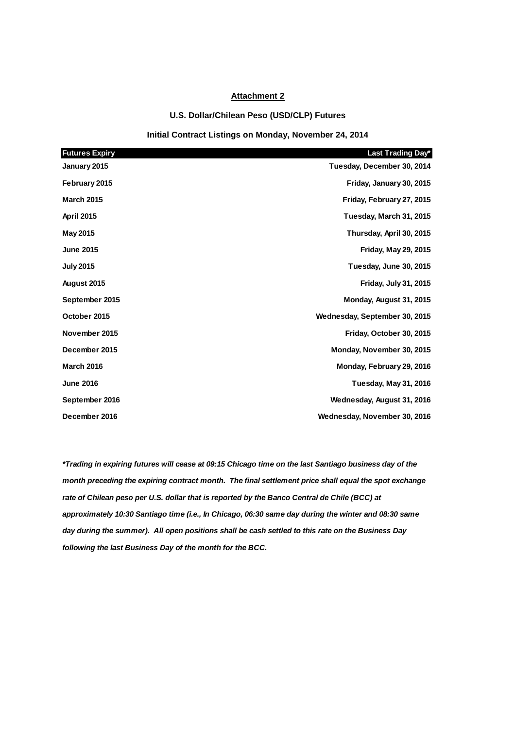#### **Attachment 2**

#### **U.S. Dollar/Chilean Peso (USD/CLP) Futures**

#### **Initial Contract Listings on Monday, November 24, 2014**

| <b>Futures Expiry</b> | Last Trading Day*             |
|-----------------------|-------------------------------|
| January 2015          | Tuesday, December 30, 2014    |
| February 2015         | Friday, January 30, 2015      |
| <b>March 2015</b>     | Friday, February 27, 2015     |
| <b>April 2015</b>     | Tuesday, March 31, 2015       |
| May 2015              | Thursday, April 30, 2015      |
| <b>June 2015</b>      | <b>Friday, May 29, 2015</b>   |
| <b>July 2015</b>      | Tuesday, June 30, 2015        |
| August 2015           | <b>Friday, July 31, 2015</b>  |
| September 2015        | Monday, August 31, 2015       |
| October 2015          | Wednesday, September 30, 2015 |
| November 2015         | Friday, October 30, 2015      |
| December 2015         | Monday, November 30, 2015     |
| <b>March 2016</b>     | Monday, February 29, 2016     |
| <b>June 2016</b>      | <b>Tuesday, May 31, 2016</b>  |
| September 2016        | Wednesday, August 31, 2016    |
| December 2016         | Wednesday, November 30, 2016  |

**\*Trading in expiring futures will cease at 09:15 Chicago time on the last Santiago business day of the month preceding the expiring contract month. The final settlement price shall equal the spot exchange rate of Chilean peso per U.S. dollar that is reported by the Banco Central de Chile (BCC) at approximately 10:30 Santiago time (i.e., In Chicago, 06:30 same day during the winter and 08:30 same day during the summer). All open positions shall be cash settled to this rate on the Business Day following the last Business Day of the month for the BCC.**